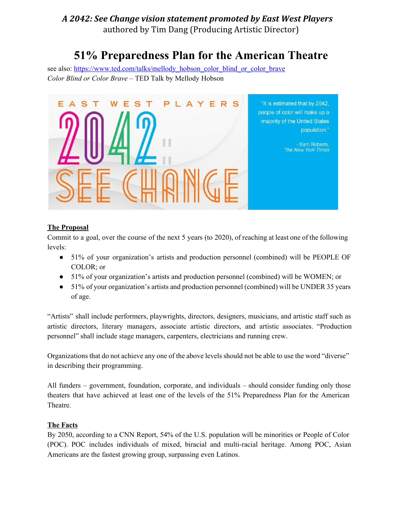# **51% Preparedness Plan for the American Theatre**

see also: [https://www.ted.com/talks/mellody\\_hobson\\_color\\_blind\\_or\\_color\\_brave](https://www.ted.com/talks/mellody_hobson_color_blind_or_color_brave) *Color Blind or Color Brave* – TED Talk by Mellody Hobson



### **The Proposal**

Commit to a goal, over the course of the next 5 years (to 2020), of reaching at least one of the following levels:

- 51% of your organization's artists and production personnel (combined) will be PEOPLE OF COLOR; or
- 51% of your organization's artists and production personnel (combined) will be WOMEN; or
- 51% of your organization's artists and production personnel (combined) will be UNDER 35 years of age.

"Artists" shall include performers, playwrights, directors, designers, musicians, and artistic staff such as artistic directors, literary managers, associate artistic directors, and artistic associates. "Production personnel" shall include stage managers, carpenters, electricians and running crew.

Organizations that do not achieve any one of the above levels should not be able to use the word "diverse" in describing their programming.

All funders – government, foundation, corporate, and individuals – should consider funding only those theaters that have achieved at least one of the levels of the 51% Preparedness Plan for the American Theatre.

### **The Facts**

By 2050, according to a CNN Report, 54% of the U.S. population will be minorities or People of Color (POC). POC includes individuals of mixed, biracial and multi-racial heritage. Among POC, Asian Americans are the fastest growing group, surpassing even Latinos.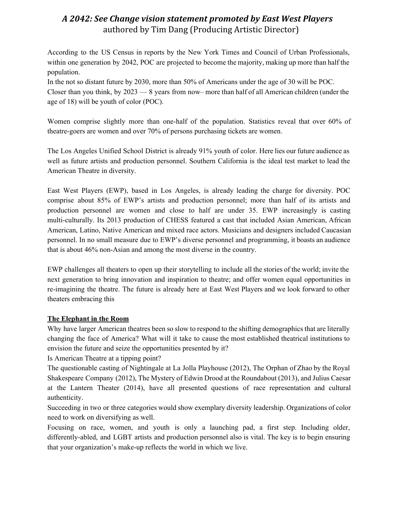According to the US Census in reports by the New York Times and Council of Urban Professionals, within one generation by 2042, POC are projected to become the majority, making up more than half the population.

In the not so distant future by 2030, more than 50% of Americans under the age of 30 will be POC. Closer than you think, by 2023 — 8 years from now– more than half of all American children (under the age of 18) will be youth of color (POC).

Women comprise slightly more than one-half of the population. Statistics reveal that over 60% of theatre-goers are women and over 70% of persons purchasing tickets are women.

The Los Angeles Unified School District is already 91% youth of color. Here lies our future audience as well as future artists and production personnel. Southern California is the ideal test market to lead the American Theatre in diversity.

East West Players (EWP), based in Los Angeles, is already leading the charge for diversity. POC comprise about 85% of EWP's artists and production personnel; more than half of its artists and production personnel are women and close to half are under 35. EWP increasingly is casting multi-culturally. Its 2013 production of CHESS featured a cast that included Asian American, African American, Latino, Native American and mixed race actors. Musicians and designers included Caucasian personnel. In no small measure due to EWP's diverse personnel and programming, it boasts an audience that is about 46% non-Asian and among the most diverse in the country.

EWP challenges all theaters to open up their storytelling to include all the stories of the world; invite the next generation to bring innovation and inspiration to theatre; and offer women equal opportunities in re-imagining the theatre. The future is already here at East West Players and we look forward to other theaters embracing this

### **The Elephant in the Room**

Why have larger American theatres been so slow to respond to the shifting demographics that are literally changing the face of America? What will it take to cause the most established theatrical institutions to envision the future and seize the opportunities presented by it?

Is American Theatre at a tipping point?

The questionable casting of Nightingale at La Jolla Playhouse (2012), The Orphan of Zhao by the Royal Shakespeare Company (2012), The Mystery of Edwin Drood at the Roundabout (2013), and Julius Caesar at the Lantern Theater (2014), have all presented questions of race representation and cultural authenticity.

Succeeding in two or three categories would show exemplary diversity leadership. Organizations of color need to work on diversifying as well.

Focusing on race, women, and youth is only a launching pad, a first step. Including older, differently-abled, and LGBT artists and production personnel also is vital. The key is to begin ensuring that your organization's make-up reflects the world in which we live.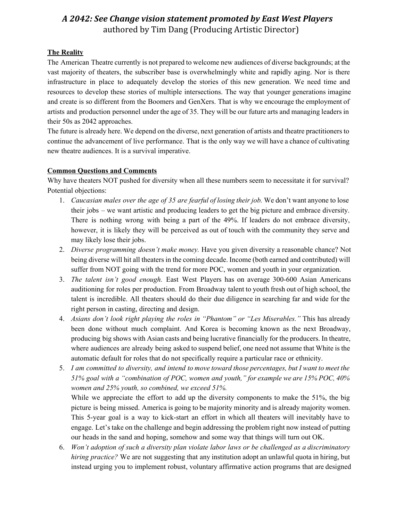### **The Reality**

The American Theatre currently is not prepared to welcome new audiences of diverse backgrounds; at the vast majority of theaters, the subscriber base is overwhelmingly white and rapidly aging. Nor is there infrastructure in place to adequately develop the stories of this new generation. We need time and resources to develop these stories of multiple intersections. The way that younger generations imagine and create is so different from the Boomers and GenXers. That is why we encourage the employment of artists and production personnel under the age of 35. They will be our future arts and managing leaders in their 50s as 2042 approaches.

The future is already here. We depend on the diverse, next generation of artists and theatre practitioners to continue the advancement of live performance. That is the only way we will have a chance of cultivating new theatre audiences. It is a survival imperative.

### **Common Questions and Comments**

Why have theaters NOT pushed for diversity when all these numbers seem to necessitate it for survival? Potential objections:

- 1. *Caucasian males over the age of 35 are fearful of losing their job.* We don't want anyone to lose their jobs – we want artistic and producing leaders to get the big picture and embrace diversity. There is nothing wrong with being a part of the 49%. If leaders do not embrace diversity, however, it is likely they will be perceived as out of touch with the community they serve and may likely lose their jobs.
- 2. *Diverse programming doesn't make money.* Have you given diversity a reasonable chance? Not being diverse will hit all theaters in the coming decade. Income (both earned and contributed) will suffer from NOT going with the trend for more POC, women and youth in your organization.
- 3. *The talent isn't good enough.* East West Players has on average 300600 Asian Americans auditioning for roles per production. From Broadway talent to youth fresh out of high school, the talent is incredible. All theaters should do their due diligence in searching far and wide for the right person in casting, directing and design.
- 4. *Asians don't look right playing the roles in "Phantom" or "Les Miserables."* This has already been done without much complaint. And Korea is becoming known as the next Broadway, producing big shows with Asian casts and being lucrative financially for the producers. In theatre, where audiences are already being asked to suspend belief, one need not assume that White is the automatic default for roles that do not specifically require a particular race or ethnicity.
- 5. I am committed to diversity, and intend to move toward those percentages, but I want to meet the *51% goal with a "combination of POC, women and youth," for example we are 15% POC, 40% women and 25% youth, so combined, we exceed 51%.*

While we appreciate the effort to add up the diversity components to make the 51%, the big picture is being missed. America is going to be majority minority and is already majority women. This 5-year goal is a way to kick-start an effort in which all theaters will inevitably have to engage. Let's take on the challenge and begin addressing the problem right now instead of putting our heads in the sand and hoping, somehow and some way that things will turn out OK.

6. *Won't adoption of such a diversity plan violate labor laws or be challenged as a discriminatory hiring practice?* We are not suggesting that any institution adopt an unlawful quota in hiring, but instead urging you to implement robust, voluntary affirmative action programs that are designed